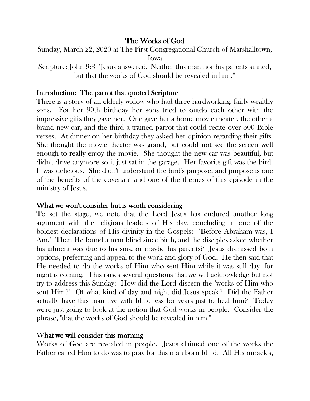## The Works of God

Sunday, March 22, 2020 at The First Congregational Church of Marshalltown, Iowa

Scripture: John 9:3 "Jesus answered, 'Neither this man nor his parents sinned, but that the works of God should be revealed in him.'"

### Introduction: The parrot that quoted Scripture

There is a story of an elderly widow who had three hardworking, fairly wealthy sons. For her 90th birthday her sons tried to outdo each other with the impressive gifts they gave her. One gave her a home movie theater, the other a brand new car, and the third a trained parrot that could recite over 500 Bible verses. At dinner on her birthday they asked her opinion regarding their gifts. She thought the movie theater was grand, but could not see the screen well enough to really enjoy the movie. She thought the new car was beautiful, but didn't drive anymore so it just sat in the garage. Her favorite gift was the bird. It was delicious. She didn't understand the bird's purpose, and purpose is one of the benefits of the covenant and one of the themes of this episode in the ministry of Jesus.

#### What we won't consider but is worth considering

To set the stage, we note that the Lord Jesus has endured another long argument with the religious leaders of His day, concluding in one of the boldest declarations of His divinity in the Gospels: "Before Abraham was, I Am." Then He found a man blind since birth, and the disciples asked whether his ailment was due to his sins, or maybe his parents? Jesus dismissed both options, preferring and appeal to the work and glory of God. He then said that He needed to do the works of Him who sent Him while it was still day, for night is coming. This raises several questions that we will acknowledge but not try to address this Sunday: How did the Lord discern the "works of Him who sent Him?" Of what kind of day and night did Jesus speak? Did the Father actually have this man live with blindness for years just to heal him? Today we're just going to look at the notion that God works in people. Consider the phrase, "that the works of God should be revealed in him."

#### What we will consider this morning

Works of God are revealed in people. Jesus claimed one of the works the Father called Him to do was to pray for this man born blind. All His miracles,